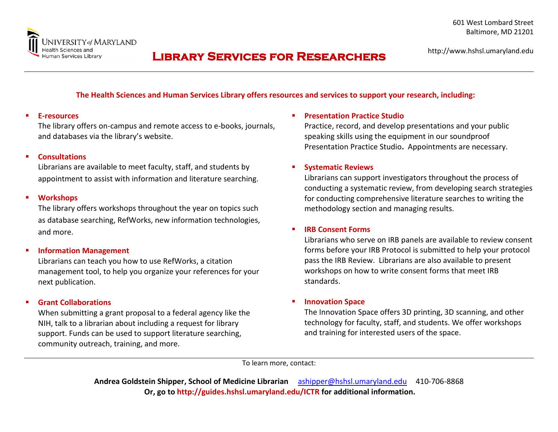

## **Library Services for Researchers**

#### **The Health Sciences and Human Services Library offers resources and services to support your research, including:**

#### **E-resources**

The library offers on-campus and remote access to e-books, journals, and databases via the library's website.

#### **Consultations**

Librarians are available to meet faculty, staff, and students by appointment to assist with information and literature searching.

#### **Workshops**

The library offers workshops throughout the year on topics such as database searching, RefWorks, new information technologies, and more.

#### **Information Management**

Librarians can teach you how to use RefWorks, a citation management tool, to help you organize your references for your next publication.

#### **Grant Collaborations**

When submitting a grant proposal to a federal agency like the NIH, talk to a librarian about including a request for library support. Funds can be used to support literature searching, community outreach, training, and more.

#### **Presentation Practice Studio**

Practice, record, and develop presentations and your public speaking skills using the equipment in our soundproof Presentation Practice Studio**.** Appointments are necessary.

#### **Systematic Reviews**

Librarians can support investigators throughout the process of conducting a systematic review, from developing search strategies for conducting comprehensive literature searches to writing the methodology section and managing results.

#### **IRB Consent Forms**

Librarians who serve on IRB panels are available to review consent forms before your IRB Protocol is submitted to help your protocol pass the IRB Review. Librarians are also available to present workshops on how to write consent forms that meet IRB standards.

#### **Innovation Space**

The Innovation Space offers 3D printing, 3D scanning, and other technology for faculty, staff, and students. We offer workshops and training for interested users of the space.

To learn more, contact:

**Andrea Goldstein Shipper, School of Medicine Librarian** [ashipper@hshsl.umaryland.edu](mailto:ashipper@hshsl.umaryland.edu) 410-706-8868 **Or, go to http://guides.hshsl.umaryland.edu/ICTR for additional information.**